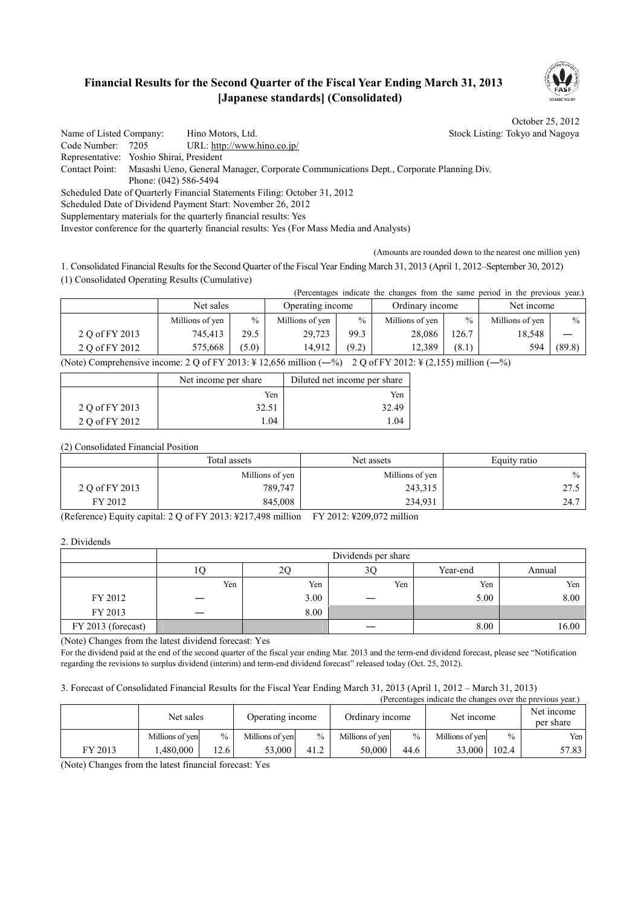## **Financial Results for the Second Quarter of the Fiscal Year Ending March 31, 2013 [Japanese standards] (Consolidated)**



October 25, 2012

Name of Listed Company: Hino Motors, Ltd. Stock Listing: Tokyo and Nagoya Code Number: 7205 URL: http://www.hino.co.jp/ Representative: Yoshio Shirai, President Contact Point: Masashi Ueno, General Manager, Corporate Communications Dept., Corporate Planning Div. Phone: (042) 586-5494 Scheduled Date of Quarterly Financial Statements Filing: October 31, 2012 Scheduled Date of Dividend Payment Start: November 26, 2012 Supplementary materials for the quarterly financial results: Yes

Investor conference for the quarterly financial results: Yes (For Mass Media and Analysts)

(Amounts are rounded down to the nearest one million yen)

1. Consolidated Financial Results for the Second Quarter of the Fiscal Year Ending March 31, 2013 (April 1, 2012–September 30, 2012) (1) Consolidated Operating Results (Cumulative)

(Percentages indicate the changes from the same period in the previous year.)

|                | Net sales       |               | Operating income |       | Ordinary income |       | Net income      |        |
|----------------|-----------------|---------------|------------------|-------|-----------------|-------|-----------------|--------|
|                | Millions of yen | $\frac{0}{0}$ | Millions of yen  | $\%$  | Millions of yen | $\%$  | Millions of yen | $\%$   |
| 2 Q of FY 2013 | 745.413         | 29.5          | 29,723           | 99.3  | 28,086          | 126.7 | 18.548          |        |
| 2 Q of FY 2012 | 575.668         | (5.0)         | 14.912           | (9.2) | 12.389          | (8.1) | 594             | (89.8) |

(Note) Comprehensive income: 2 Q of FY 2013:  $\frac{1}{2}$  12,656 million (-%) 2 Q of FY 2012:  $\frac{1}{2}$  (2,155) million (-%)

|                | Net income per share | Diluted net income per share |
|----------------|----------------------|------------------------------|
|                | Yen                  | Yen                          |
| 2 Q of FY 2013 | 32.51                | 32.49                        |
| 2 Q of FY 2012 | 1.04                 | -04                          |

(2) Consolidated Financial Position

|                | Total assets<br>Net assets |                 | Equity ratio |
|----------------|----------------------------|-----------------|--------------|
|                | Millions of yen            | Millions of yen | $\%$         |
| 2 Q of FY 2013 | 789,747                    | 243,315         | 27.5         |
| FY 2012        | 845,008                    | 234,931         | 24.7         |

(Reference) Equity capital: 2 Q of FY 2013: ¥217,498 million FY 2012: ¥209,072 million

2. Dividends

|                    |     |      | Dividends per share |          |        |
|--------------------|-----|------|---------------------|----------|--------|
|                    | ΙV  | ŽŲ   | 3Ç                  | Year-end | Annual |
|                    | Yen | Yen  | Yen                 | Yen      | Yen    |
| FY 2012            |     | 3.00 |                     | 5.00     | 8.00   |
| FY 2013            |     | 8.00 |                     |          |        |
| FY 2013 (forecast) |     |      |                     | 8.00     | 16.00  |

(Note) Changes from the latest dividend forecast: Yes

For the dividend paid at the end of the second quarter of the fiscal year ending Mar. 2013 and the term-end dividend forecast, please see "Notification regarding the revisions to surplus dividend (interim) and term-end dividend forecast" released today (Oct. 25, 2012).

#### 3. Forecast of Consolidated Financial Results for the Fiscal Year Ending March 31, 2013 (April 1, 2012 – March 31, 2013)  $\sum_{n=1}^{\infty}$  indicate the changes over the previous year.)

|         | Net sales       |      | Operating income |               | Ordinary income |      | relectuages indicate the changes over the previous year.<br>Net income |       | Net income<br>per share |
|---------|-----------------|------|------------------|---------------|-----------------|------|------------------------------------------------------------------------|-------|-------------------------|
|         | Millions of yen | $\%$ | Millions of ven  | $\frac{0}{0}$ | Millions of ven | $\%$ | Millions of yen                                                        | $\%$  | Yen                     |
| FY 2013 | .480.000        | 12.6 | 53.000           | 41.2          | 50.000          | 44.6 | 33,000                                                                 | 102.4 | 57.83                   |

(Note) Changes from the latest financial forecast: Yes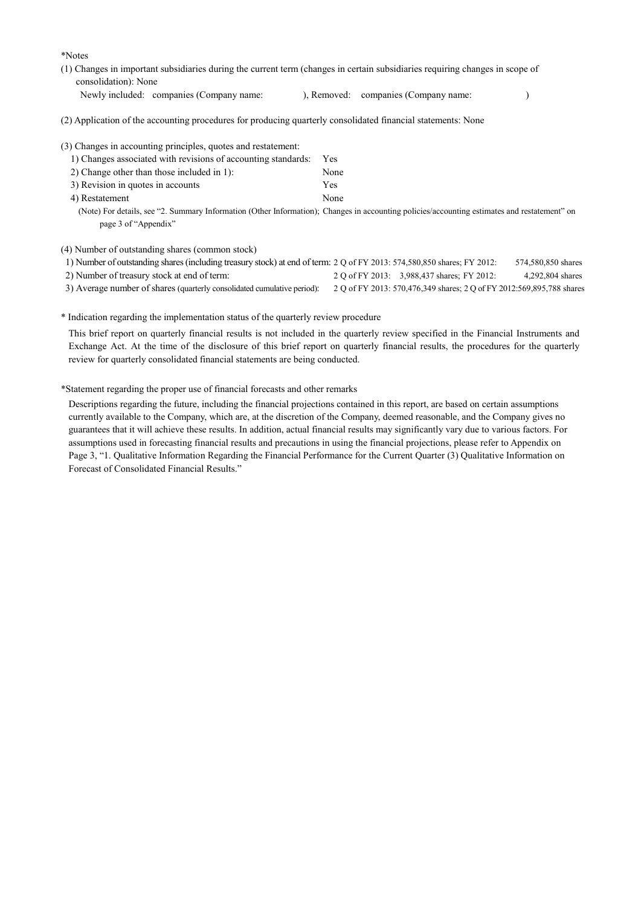\*Notes

- (1) Changes in important subsidiaries during the current term (changes in certain subsidiaries requiring changes in scope of consolidation): None
	- Newly included: companies (Company name: ), Removed: companies (Company name: )

(2) Application of the accounting procedures for producing quarterly consolidated financial statements: None

| (3) Changes in accounting principles, quotes and restatement: |                                                                                                                                              |
|---------------------------------------------------------------|----------------------------------------------------------------------------------------------------------------------------------------------|
| 1) Changes associated with revisions of accounting standards: | Yes                                                                                                                                          |
| 2) Change other than those included in 1):                    | None                                                                                                                                         |
| 3) Revision in quotes in accounts                             | Yes                                                                                                                                          |
| 4) Restatement                                                | None                                                                                                                                         |
|                                                               | (Note) For details, see "2. Summary Information (Other Information); Changes in accounting policies/accounting estimates and restatement" on |
| page 3 of "Appendix"                                          |                                                                                                                                              |

(4) Number of outstanding shares (common stock)

| 1) Number of outstanding shares (including treasury stock) at end of term: 2 Q of FY 2013: 574,580,850 shares; FY 2012: |                                                                       | 574,580,850 shares |
|-------------------------------------------------------------------------------------------------------------------------|-----------------------------------------------------------------------|--------------------|
| 2) Number of treasury stock at end of term:                                                                             | 2 Q of FY 2013: 3.988,437 shares; FY 2012:                            | 4,292,804 shares   |
| 3) Average number of shares (quarterly consolidated cumulative period):                                                 | 2 Q of FY 2013: 570,476,349 shares; 2 Q of FY 2012:569,895,788 shares |                    |

\* Indication regarding the implementation status of the quarterly review procedure

This brief report on quarterly financial results is not included in the quarterly review specified in the Financial Instruments and Exchange Act. At the time of the disclosure of this brief report on quarterly financial results, the procedures for the quarterly review for quarterly consolidated financial statements are being conducted.

\*Statement regarding the proper use of financial forecasts and other remarks

Descriptions regarding the future, including the financial projections contained in this report, are based on certain assumptions currently available to the Company, which are, at the discretion of the Company, deemed reasonable, and the Company gives no guarantees that it will achieve these results. In addition, actual financial results may significantly vary due to various factors. For assumptions used in forecasting financial results and precautions in using the financial projections, please refer to Appendix on Page 3, "1. Qualitative Information Regarding the Financial Performance for the Current Quarter (3) Qualitative Information on Forecast of Consolidated Financial Results."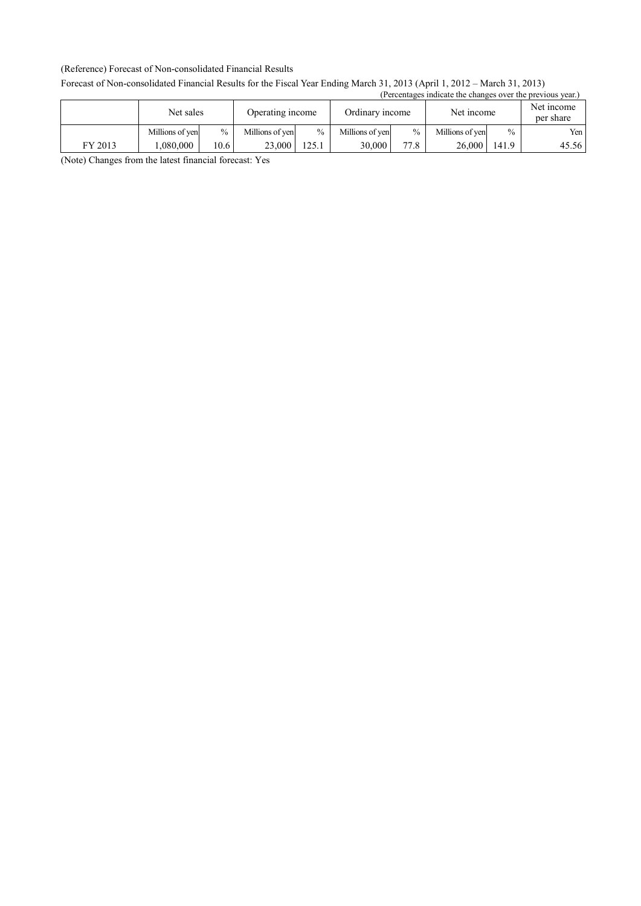#### (Reference) Forecast of Non-consolidated Financial Results

#### Forecast of Non-consolidated Financial Results for the Fiscal Year Ending March 31, 2013 (April 1, 2012 – March 31, 2013) (Percentages indicate the changes over the previous year.)

|         |                 | Net sales<br>Operating income |                 |               | Ordinary income |      | Net income      |               | Net income<br>per share |
|---------|-----------------|-------------------------------|-----------------|---------------|-----------------|------|-----------------|---------------|-------------------------|
|         | Millions of yen | $\%$                          | Millions of yen | $\frac{0}{0}$ | Millions of yen | $\%$ | Millions of yen | $\frac{0}{0}$ | Yen l                   |
| FY 2013 | .080.000        | 10.6                          | 23,000          | 125.1         | 30,000          | 77.8 | 26,000          | 141.9         | 45.56                   |

(Note) Changes from the latest financial forecast: Yes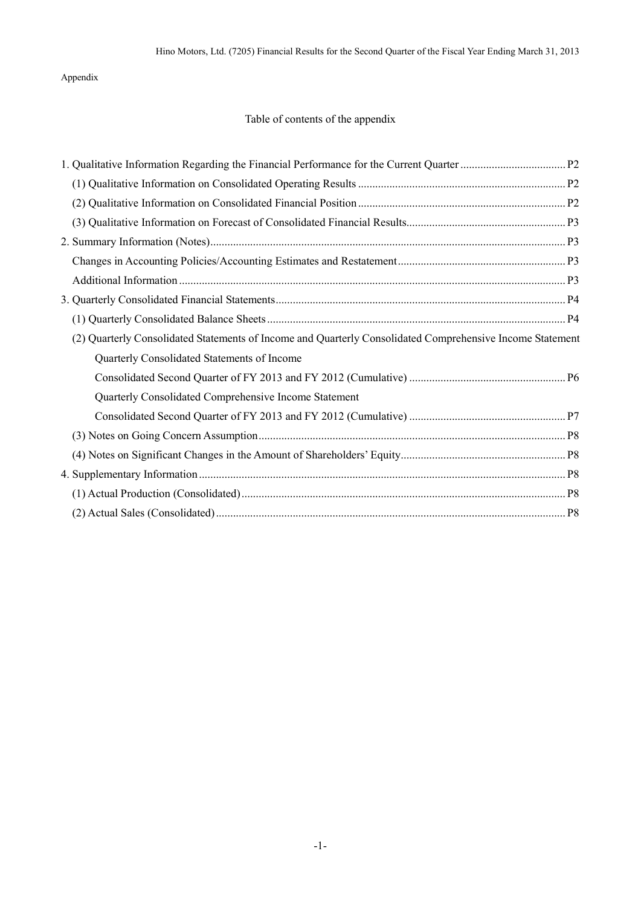Appendix

## Table of contents of the appendix

| (2) Quarterly Consolidated Statements of Income and Quarterly Consolidated Comprehensive Income Statement |  |
|-----------------------------------------------------------------------------------------------------------|--|
| Quarterly Consolidated Statements of Income                                                               |  |
|                                                                                                           |  |
| Quarterly Consolidated Comprehensive Income Statement                                                     |  |
|                                                                                                           |  |
|                                                                                                           |  |
|                                                                                                           |  |
|                                                                                                           |  |
|                                                                                                           |  |
|                                                                                                           |  |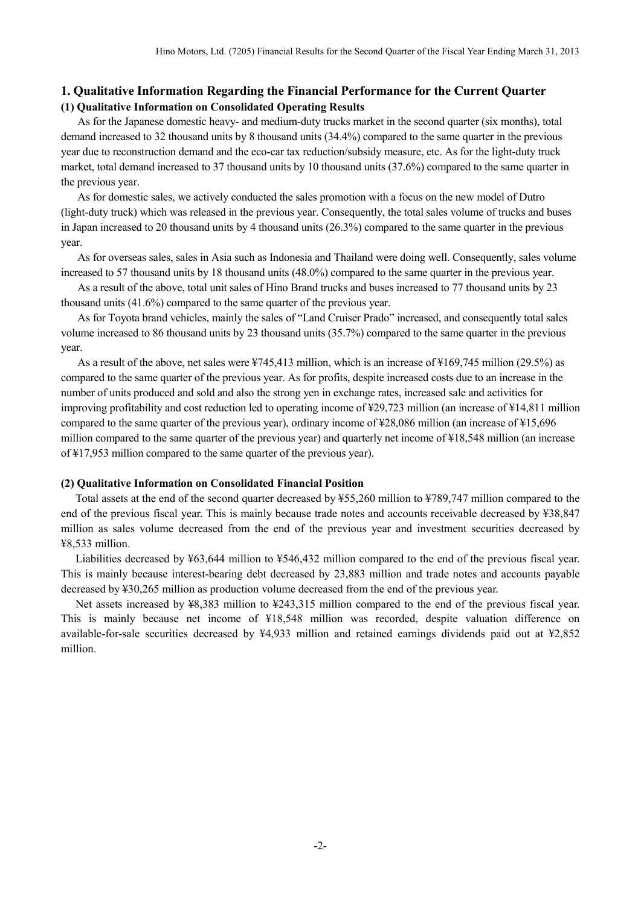### **1. Qualitative Information Regarding the Financial Performance for the Current Quarter (1) Qualitative Information on Consolidated Operating Results**

As for the Japanese domestic heavy- and medium-duty trucks market in the second quarter (six months), total demand increased to 32 thousand units by 8 thousand units (34.4%) compared to the same quarter in the previous year due to reconstruction demand and the eco-car tax reduction/subsidy measure, etc. As for the light-duty truck market, total demand increased to 37 thousand units by 10 thousand units (37.6%) compared to the same quarter in the previous year.

As for domestic sales, we actively conducted the sales promotion with a focus on the new model of Dutro (light-duty truck) which was released in the previous year. Consequently, the total sales volume of trucks and buses in Japan increased to 20 thousand units by 4 thousand units (26.3%) compared to the same quarter in the previous year.

As for overseas sales, sales in Asia such as Indonesia and Thailand were doing well. Consequently, sales volume increased to 57 thousand units by 18 thousand units (48.0%) compared to the same quarter in the previous year.

As a result of the above, total unit sales of Hino Brand trucks and buses increased to 77 thousand units by 23 thousand units (41.6%) compared to the same quarter of the previous year.

As for Toyota brand vehicles, mainly the sales of "Land Cruiser Prado" increased, and consequently total sales volume increased to 86 thousand units by 23 thousand units (35.7%) compared to the same quarter in the previous year.

As a result of the above, net sales were ¥745,413 million, which is an increase of ¥169,745 million (29.5%) as compared to the same quarter of the previous year. As for profits, despite increased costs due to an increase in the number of units produced and sold and also the strong yen in exchange rates, increased sale and activities for improving profitability and cost reduction led to operating income of ¥29,723 million (an increase of ¥14,811 million compared to the same quarter of the previous year), ordinary income of ¥28,086 million (an increase of ¥15,696 million compared to the same quarter of the previous year) and quarterly net income of ¥18,548 million (an increase of ¥17,953 million compared to the same quarter of the previous year).

#### **(2) Qualitative Information on Consolidated Financial Position**

Total assets at the end of the second quarter decreased by ¥55,260 million to ¥789,747 million compared to the end of the previous fiscal year. This is mainly because trade notes and accounts receivable decreased by ¥38,847 million as sales volume decreased from the end of the previous year and investment securities decreased by ¥8,533 million.

Liabilities decreased by ¥63,644 million to ¥546,432 million compared to the end of the previous fiscal year. This is mainly because interest-bearing debt decreased by 23,883 million and trade notes and accounts payable decreased by ¥30,265 million as production volume decreased from the end of the previous year.

Net assets increased by ¥8,383 million to ¥243,315 million compared to the end of the previous fiscal year. This is mainly because net income of ¥18,548 million was recorded, despite valuation difference on available-for-sale securities decreased by ¥4,933 million and retained earnings dividends paid out at ¥2,852 million.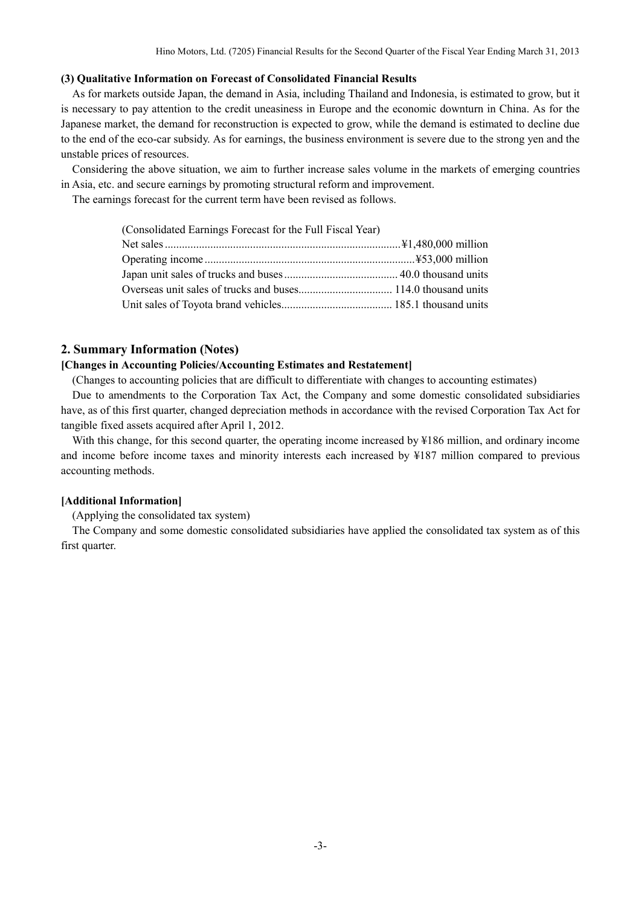#### **(3) Qualitative Information on Forecast of Consolidated Financial Results**

As for markets outside Japan, the demand in Asia, including Thailand and Indonesia, is estimated to grow, but it is necessary to pay attention to the credit uneasiness in Europe and the economic downturn in China. As for the Japanese market, the demand for reconstruction is expected to grow, while the demand is estimated to decline due to the end of the eco-car subsidy. As for earnings, the business environment is severe due to the strong yen and the unstable prices of resources.

Considering the above situation, we aim to further increase sales volume in the markets of emerging countries in Asia, etc. and secure earnings by promoting structural reform and improvement.

The earnings forecast for the current term have been revised as follows.

| (Consolidated Earnings Forecast for the Full Fiscal Year) |  |
|-----------------------------------------------------------|--|
|                                                           |  |
|                                                           |  |
|                                                           |  |
|                                                           |  |
|                                                           |  |

### **2. Summary Information (Notes)**

#### **[Changes in Accounting Policies/Accounting Estimates and Restatement]**

(Changes to accounting policies that are difficult to differentiate with changes to accounting estimates)

Due to amendments to the Corporation Tax Act, the Company and some domestic consolidated subsidiaries have, as of this first quarter, changed depreciation methods in accordance with the revised Corporation Tax Act for tangible fixed assets acquired after April 1, 2012.

With this change, for this second quarter, the operating income increased by ¥186 million, and ordinary income and income before income taxes and minority interests each increased by ¥187 million compared to previous accounting methods.

#### **[Additional Information]**

(Applying the consolidated tax system)

The Company and some domestic consolidated subsidiaries have applied the consolidated tax system as of this first quarter.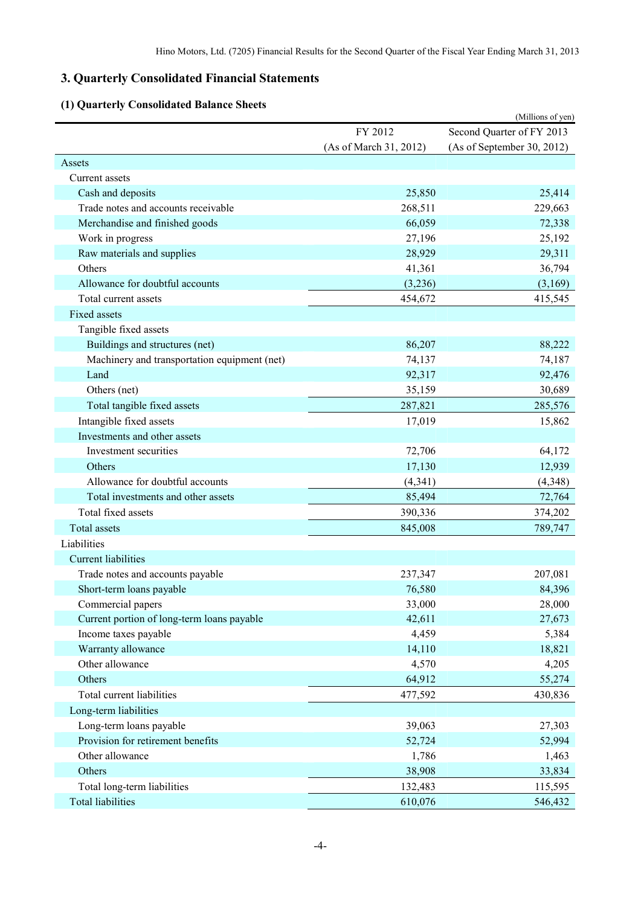# **3. Quarterly Consolidated Financial Statements**

# **(1) Quarterly Consolidated Balance Sheets**

| Quarterly Consonuated Dalance Sh             |                        | (Millions of yen)          |
|----------------------------------------------|------------------------|----------------------------|
|                                              | FY 2012                | Second Quarter of FY 2013  |
|                                              | (As of March 31, 2012) | (As of September 30, 2012) |
| Assets                                       |                        |                            |
| Current assets                               |                        |                            |
| Cash and deposits                            | 25,850                 | 25,414                     |
| Trade notes and accounts receivable          | 268,511                | 229,663                    |
| Merchandise and finished goods               | 66,059                 | 72,338                     |
| Work in progress                             | 27,196                 | 25,192                     |
| Raw materials and supplies                   | 28,929                 | 29,311                     |
| Others                                       | 41,361                 | 36,794                     |
| Allowance for doubtful accounts              | (3,236)                | (3,169)                    |
| Total current assets                         | 454,672                | 415,545                    |
| Fixed assets                                 |                        |                            |
| Tangible fixed assets                        |                        |                            |
| Buildings and structures (net)               | 86,207                 | 88,222                     |
| Machinery and transportation equipment (net) | 74,137                 | 74,187                     |
| Land                                         | 92,317                 | 92,476                     |
| Others (net)                                 | 35,159                 | 30,689                     |
| Total tangible fixed assets                  | 287,821                | 285,576                    |
| Intangible fixed assets                      | 17,019                 | 15,862                     |
| Investments and other assets                 |                        |                            |
| Investment securities                        | 72,706                 | 64,172                     |
| Others                                       | 17,130                 | 12,939                     |
| Allowance for doubtful accounts              | (4, 341)               | (4,348)                    |
| Total investments and other assets           | 85,494                 | 72,764                     |
| Total fixed assets                           | 390,336                | 374,202                    |
| <b>Total assets</b>                          | 845,008                | 789,747                    |
| Liabilities                                  |                        |                            |
| <b>Current liabilities</b>                   |                        |                            |
| Trade notes and accounts payable             | 237,347                | 207,081                    |
| Short-term loans payable                     | 76,580                 | 84,396                     |
| Commercial papers                            | 33,000                 | 28,000                     |
| Current portion of long-term loans payable   | 42,611                 | 27,673                     |
| Income taxes payable                         | 4,459                  | 5,384                      |
| Warranty allowance                           | 14,110                 | 18,821                     |
| Other allowance                              | 4,570                  | 4,205                      |
| Others                                       | 64,912                 | 55,274                     |
| Total current liabilities                    | 477,592                | 430,836                    |
| Long-term liabilities                        |                        |                            |
| Long-term loans payable                      | 39,063                 | 27,303                     |
| Provision for retirement benefits            | 52,724                 | 52,994                     |
| Other allowance                              | 1,786                  | 1,463                      |
| Others                                       | 38,908                 | 33,834                     |
| Total long-term liabilities                  | 132,483                | 115,595                    |
| <b>Total liabilities</b>                     | 610,076                | 546,432                    |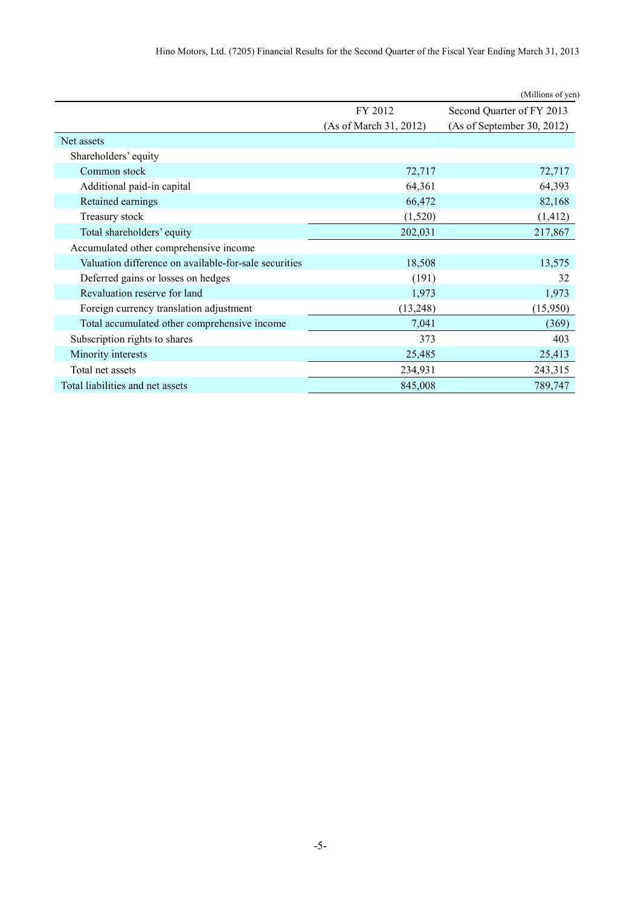|                                                       |                        | (Millions of yen)          |
|-------------------------------------------------------|------------------------|----------------------------|
|                                                       | FY 2012                | Second Quarter of FY 2013  |
|                                                       | (As of March 31, 2012) | (As of September 30, 2012) |
| Net assets                                            |                        |                            |
| Shareholders' equity                                  |                        |                            |
| Common stock                                          | 72,717                 | 72,717                     |
| Additional paid-in capital                            | 64,361                 | 64,393                     |
| Retained earnings                                     | 66,472                 | 82,168                     |
| Treasury stock                                        | (1,520)                | (1, 412)                   |
| Total shareholders' equity                            | 202,031                | 217,867                    |
| Accumulated other comprehensive income                |                        |                            |
| Valuation difference on available-for-sale securities | 18,508                 | 13,575                     |
| Deferred gains or losses on hedges                    | (191)                  | 32                         |
| Revaluation reserve for land                          | 1,973                  | 1,973                      |
| Foreign currency translation adjustment               | (13,248)               | (15,950)                   |
| Total accumulated other comprehensive income          | 7,041                  | (369)                      |
| Subscription rights to shares                         | 373                    | 403                        |
| Minority interests                                    | 25,485                 | 25,413                     |
| Total net assets                                      | 234,931                | 243,315                    |
| Total liabilities and net assets                      | 845,008                | 789,747                    |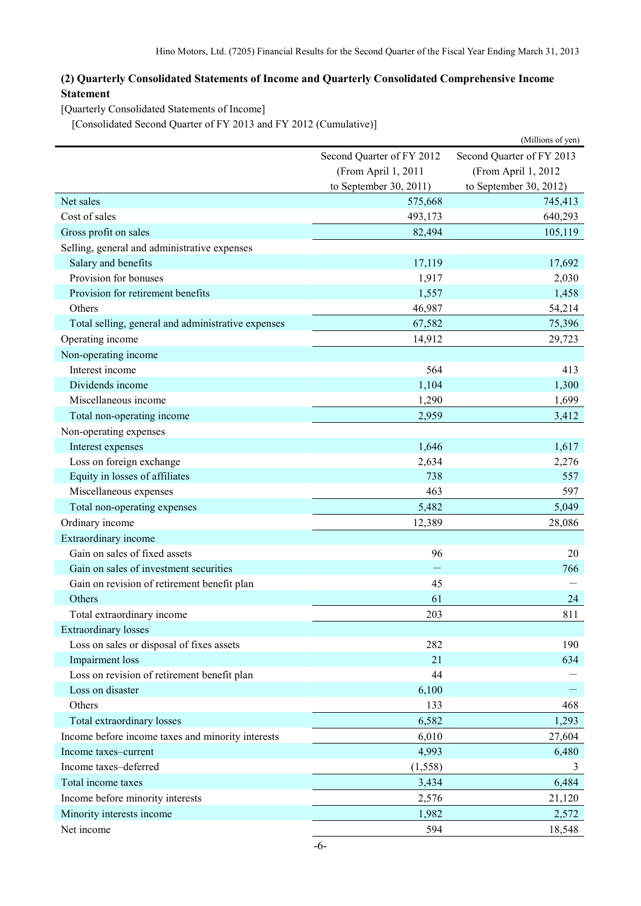## **(2) Quarterly Consolidated Statements of Income and Quarterly Consolidated Comprehensive Income Statement**

[Quarterly Consolidated Statements of Income]

[Consolidated Second Quarter of FY 2013 and FY 2012 (Cumulative)]

|                                                    |                                                        | (Millions of yen)      |  |
|----------------------------------------------------|--------------------------------------------------------|------------------------|--|
|                                                    | Second Quarter of FY 2013<br>Second Quarter of FY 2012 |                        |  |
|                                                    | (From April 1, 2011                                    | (From April 1, 2012    |  |
|                                                    | to September 30, 2011)                                 | to September 30, 2012) |  |
| Net sales                                          | 575,668                                                | 745,413                |  |
| Cost of sales                                      | 493,173                                                | 640,293                |  |
| Gross profit on sales                              | 82,494                                                 | 105,119                |  |
| Selling, general and administrative expenses       |                                                        |                        |  |
| Salary and benefits                                | 17,119                                                 | 17,692                 |  |
| Provision for bonuses                              | 1,917                                                  | 2,030                  |  |
| Provision for retirement benefits                  | 1,557                                                  | 1,458                  |  |
| Others                                             | 46,987                                                 | 54,214                 |  |
| Total selling, general and administrative expenses | 67,582                                                 | 75,396                 |  |
| Operating income                                   | 14,912                                                 | 29,723                 |  |
| Non-operating income                               |                                                        |                        |  |
| Interest income                                    | 564                                                    | 413                    |  |
| Dividends income                                   | 1,104                                                  | 1,300                  |  |
| Miscellaneous income                               | 1,290                                                  | 1,699                  |  |
| Total non-operating income                         | 2,959                                                  | 3,412                  |  |
| Non-operating expenses                             |                                                        |                        |  |
| Interest expenses                                  | 1,646                                                  | 1,617                  |  |
| Loss on foreign exchange                           | 2,634                                                  | 2,276                  |  |
| Equity in losses of affiliates                     | 738                                                    | 557                    |  |
| Miscellaneous expenses                             | 463                                                    | 597                    |  |
| Total non-operating expenses                       | 5,482                                                  | 5,049                  |  |
| Ordinary income                                    | 12,389                                                 | 28,086                 |  |
| Extraordinary income                               |                                                        |                        |  |
| Gain on sales of fixed assets                      | 96                                                     | 20                     |  |
| Gain on sales of investment securities             |                                                        | 766                    |  |
| Gain on revision of retirement benefit plan        | 45                                                     |                        |  |
| Others                                             | 61                                                     | 24                     |  |
| Total extraordinary income                         | 203                                                    | 811                    |  |
| <b>Extraordinary losses</b>                        |                                                        |                        |  |
| Loss on sales or disposal of fixes assets          | 282                                                    | 190                    |  |
| Impairment loss                                    | 21                                                     | 634                    |  |
| Loss on revision of retirement benefit plan        | 44                                                     |                        |  |
| Loss on disaster                                   | 6,100                                                  |                        |  |
| Others                                             | 133                                                    | 468                    |  |
| Total extraordinary losses                         | 6,582                                                  | 1,293                  |  |
| Income before income taxes and minority interests  | 6,010                                                  | 27,604                 |  |
| Income taxes-current                               | 4,993                                                  | 6,480                  |  |
| Income taxes-deferred                              | (1, 558)                                               | 3                      |  |
| Total income taxes                                 | 3,434                                                  | 6,484                  |  |
| Income before minority interests                   | 2,576                                                  | 21,120                 |  |
| Minority interests income                          | 1,982                                                  | 2,572                  |  |
| Net income                                         | 594                                                    | 18,548                 |  |
|                                                    |                                                        |                        |  |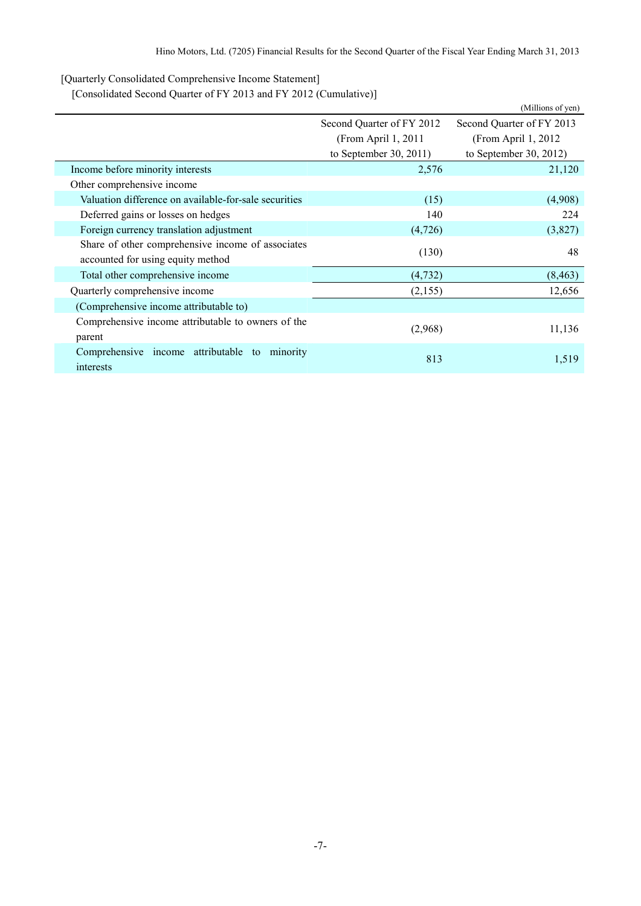[Quarterly Consolidated Comprehensive Income Statement]

[Consolidated Second Quarter of FY 2013 and FY 2012 (Cumulative)]

|                                                       |                           | (Millions of yen)         |  |
|-------------------------------------------------------|---------------------------|---------------------------|--|
|                                                       | Second Quarter of FY 2012 | Second Quarter of FY 2013 |  |
|                                                       | (From April 1, 2011)      | (From April 1, 2012)      |  |
|                                                       | to September 30, 2011)    | to September 30, 2012)    |  |
| Income before minority interests                      | 2,576                     | 21,120                    |  |
| Other comprehensive income                            |                           |                           |  |
| Valuation difference on available-for-sale securities | (15)                      | (4,908)                   |  |
| Deferred gains or losses on hedges                    | 140                       | 224                       |  |
| Foreign currency translation adjustment               | (4,726)                   | (3,827)                   |  |
| Share of other comprehensive income of associates     | (130)                     | 48                        |  |
| accounted for using equity method                     |                           |                           |  |
| Total other comprehensive income                      | (4, 732)                  | (8, 463)                  |  |
| Quarterly comprehensive income                        | (2,155)                   | 12,656                    |  |
| (Comprehensive income attributable to)                |                           |                           |  |
| Comprehensive income attributable to owners of the    |                           | 11,136                    |  |
| parent                                                | (2,968)                   |                           |  |
| Comprehensive income attributable to<br>minority      | 813                       | 1,519                     |  |
| interests                                             |                           |                           |  |